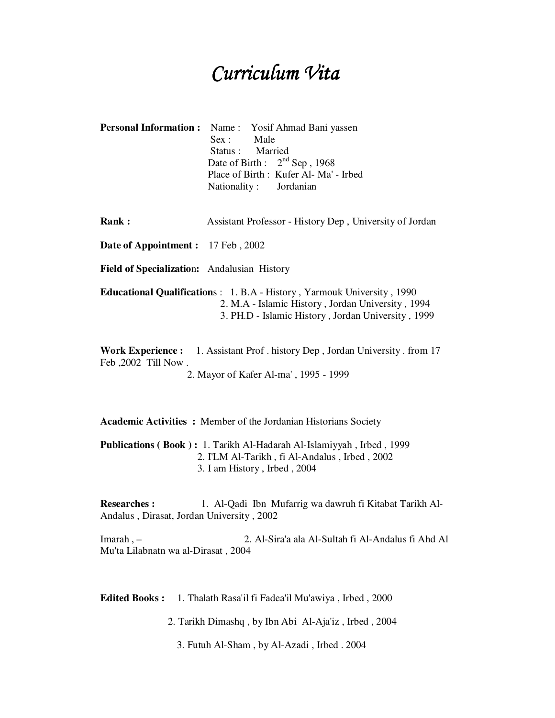## Curriculum Vita

|                                                                                                                                                                                   | <b>Personal Information :</b> Name : Yosif Ahmad Bani yassen<br>Sex: Male<br>Status: Married<br>Date of Birth: $2nd$ Sep, 1968<br>Place of Birth: Kufer Al-Ma' - Irbed<br>Nationality: Jordanian |
|-----------------------------------------------------------------------------------------------------------------------------------------------------------------------------------|--------------------------------------------------------------------------------------------------------------------------------------------------------------------------------------------------|
| Rank:                                                                                                                                                                             | Assistant Professor - History Dep, University of Jordan                                                                                                                                          |
| Date of Appointment: 17 Feb, 2002                                                                                                                                                 |                                                                                                                                                                                                  |
| Field of Specialization: Andalusian History                                                                                                                                       |                                                                                                                                                                                                  |
| Educational Qualifications: 1. B.A - History, Yarmouk University, 1990<br>2. M.A - Islamic History, Jordan University, 1994<br>3. PH.D - Islamic History, Jordan University, 1999 |                                                                                                                                                                                                  |
| <b>Work Experience:</b> 1. Assistant Prof. history Dep, Jordan University. from 17<br>Feb, 2002 Till Now.<br>2. Mayor of Kafer Al-ma', 1995 - 1999                                |                                                                                                                                                                                                  |

**Academic Activities :** Member of the Jordanian Historians Society

**Publications ( Book ) :** 1. Tarikh Al-Hadarah Al-Islamiyyah , Irbed , 1999 2. I'LM Al-Tarikh , fi Al-Andalus , Irbed , 2002 3. I am History , Irbed , 2004

**Researches :** 1. Al-Qadi Ibn Mufarrig wa dawruh fi Kitabat Tarikh Al-Andalus , Dirasat, Jordan University , 2002

Imarah , – 2. Al-Sira'a ala Al-Sultah fi Al-Andalus fi Ahd Al Mu'ta Lilabnatn wa al-Dirasat , 2004

**Edited Books :** 1. Thalath Rasa'il fi Fadea'il Mu'awiya , Irbed , 2000

2. Tarikh Dimashq , by Ibn Abi Al-Aja'iz , Irbed , 2004

3. Futuh Al-Sham , by Al-Azadi , Irbed . 2004